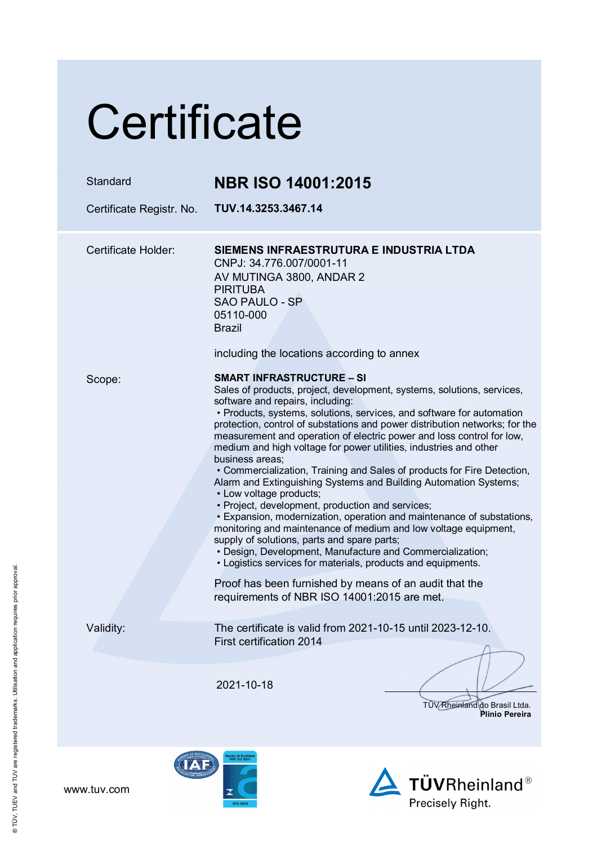# **Certificate**

| Standard<br>Certificate Registr. No. | <b>NBR ISO 14001:2015</b><br>TUV.14.3253.3467.14                                                                                                                                                                                                                                                                                                                                                                                                                                                                                                                                                                                                                                                                                                                                                                                                                                                                                                                                                                                                                                                                                       |
|--------------------------------------|----------------------------------------------------------------------------------------------------------------------------------------------------------------------------------------------------------------------------------------------------------------------------------------------------------------------------------------------------------------------------------------------------------------------------------------------------------------------------------------------------------------------------------------------------------------------------------------------------------------------------------------------------------------------------------------------------------------------------------------------------------------------------------------------------------------------------------------------------------------------------------------------------------------------------------------------------------------------------------------------------------------------------------------------------------------------------------------------------------------------------------------|
| Certificate Holder:                  | SIEMENS INFRAESTRUTURA E INDUSTRIA LTDA<br>CNPJ: 34.776.007/0001-11<br>AV MUTINGA 3800, ANDAR 2                                                                                                                                                                                                                                                                                                                                                                                                                                                                                                                                                                                                                                                                                                                                                                                                                                                                                                                                                                                                                                        |
|                                      | <b>PIRITUBA</b><br><b>SAO PAULO - SP</b><br>05110-000<br><b>Brazil</b><br>including the locations according to annex                                                                                                                                                                                                                                                                                                                                                                                                                                                                                                                                                                                                                                                                                                                                                                                                                                                                                                                                                                                                                   |
| Scope:                               | <b>SMART INFRASTRUCTURE – SI</b><br>Sales of products, project, development, systems, solutions, services,<br>software and repairs, including:<br>• Products, systems, solutions, services, and software for automation<br>protection, control of substations and power distribution networks; for the<br>measurement and operation of electric power and loss control for low,<br>medium and high voltage for power utilities, industries and other<br>business areas;<br>• Commercialization, Training and Sales of products for Fire Detection,<br>Alarm and Extinguishing Systems and Building Automation Systems;<br>• Low voltage products;<br>• Project, development, production and services;<br>• Expansion, modernization, operation and maintenance of substations,<br>monitoring and maintenance of medium and low voltage equipment,<br>supply of solutions, parts and spare parts;<br>• Design, Development, Manufacture and Commercialization;<br>• Logistics services for materials, products and equipments.<br>Proof has been furnished by means of an audit that the<br>requirements of NBR ISO 14001:2015 are met. |
| Validity:                            | The certificate is valid from 2021-10-15 until 2023-12-10.<br><b>First certification 2014</b>                                                                                                                                                                                                                                                                                                                                                                                                                                                                                                                                                                                                                                                                                                                                                                                                                                                                                                                                                                                                                                          |
|                                      | 2021-10-18<br>TÜV Rheinland do Brasil Ltda.<br>Plinio Pereira                                                                                                                                                                                                                                                                                                                                                                                                                                                                                                                                                                                                                                                                                                                                                                                                                                                                                                                                                                                                                                                                          |
|                                      |                                                                                                                                                                                                                                                                                                                                                                                                                                                                                                                                                                                                                                                                                                                                                                                                                                                                                                                                                                                                                                                                                                                                        |





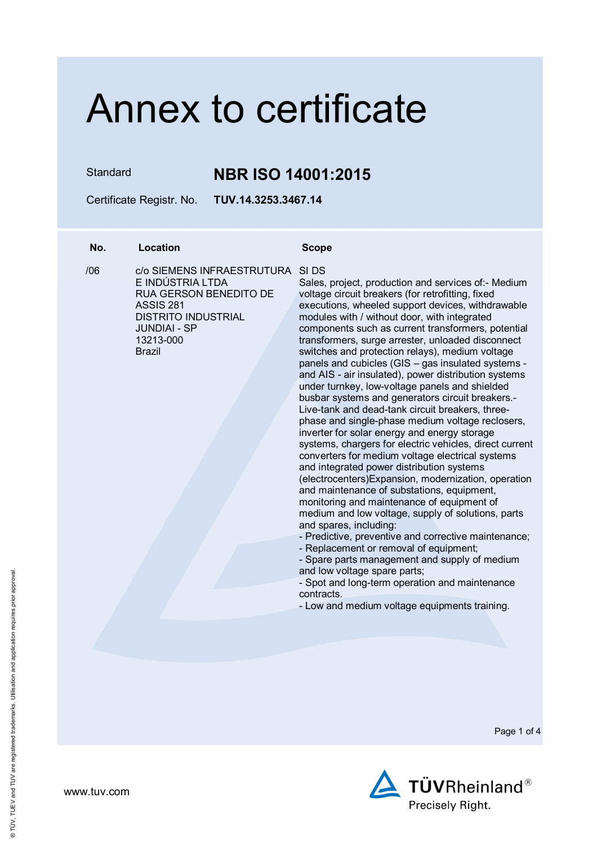Standard **NBR ISO 14001:2015**

Certificate Registr. No. **TUV.14.3253.3467.14** 

### **No. Location Scope**

 $106$ 

/06 c/o SIEMENS INFRAESTRUTURA SI DS E INDÚSTRIA LTDA RUA GERSON BENEDITO DE ASSIS 281 DISTRITO INDUSTRIAL JUNDIAI - SP 13213-000 Brazil

Sales, project, production and services of:- Medium voltage circuit breakers (for retrofitting, fixed executions, wheeled support devices, withdrawable modules with / without door, with integrated components such as current transformers, potential transformers, surge arrester, unloaded disconnect switches and protection relays), medium voltage panels and cubicles (GIS – gas insulated systems and AIS - air insulated), power distribution systems under turnkey, low-voltage panels and shielded busbar systems and generators circuit breakers.- Live-tank and dead-tank circuit breakers, threephase and single-phase medium voltage reclosers, inverter for solar energy and energy storage systems, chargers for electric vehicles, direct current converters for medium voltage electrical systems and integrated power distribution systems (electrocenters)Expansion, modernization, operation and maintenance of substations, equipment, monitoring and maintenance of equipment of medium and low voltage, supply of solutions, parts and spares, including:

- Predictive, preventive and corrective maintenance;

- Replacement or removal of equipment;

- Spare parts management and supply of medium and low voltage spare parts;

- Spot and long-term operation and maintenance contracts.

- Low and medium voltage equipments training.

Page 1 of 4

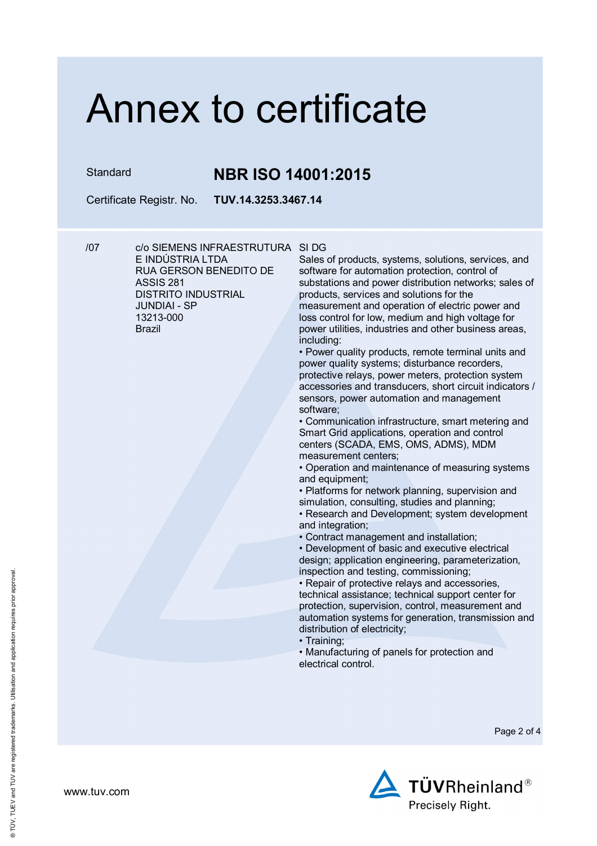### Standard **NBR ISO 14001:2015**

Certificate Registr. No. **TUV.14.3253.3467.14** 

/07 c/o SIEMENS INFRAESTRUTURA SI DG E INDÚSTRIA LTDA RUA GERSON BENEDITO DE ASSIS 281 DISTRITO INDUSTRIAL JUNDIAI - SP 13213-000 Brazil

Sales of products, systems, solutions, services, and software for automation protection, control of substations and power distribution networks; sales of products, services and solutions for the measurement and operation of electric power and loss control for low, medium and high voltage for power utilities, industries and other business areas, including:

• Power quality products, remote terminal units and power quality systems; disturbance recorders, protective relays, power meters, protection system accessories and transducers, short circuit indicators / sensors, power automation and management software;

• Communication infrastructure, smart metering and Smart Grid applications, operation and control centers (SCADA, EMS, OMS, ADMS), MDM measurement centers;

• Operation and maintenance of measuring systems and equipment;

• Platforms for network planning, supervision and simulation, consulting, studies and planning;

• Research and Development; system development and integration;

• Contract management and installation;

• Development of basic and executive electrical design; application engineering, parameterization, inspection and testing, commissioning;

• Repair of protective relays and accessories, technical assistance; technical support center for protection, supervision, control, measurement and automation systems for generation, transmission and distribution of electricity;

• Training;

• Manufacturing of panels for protection and electrical control.

Page 2 of 4



www.tuv.com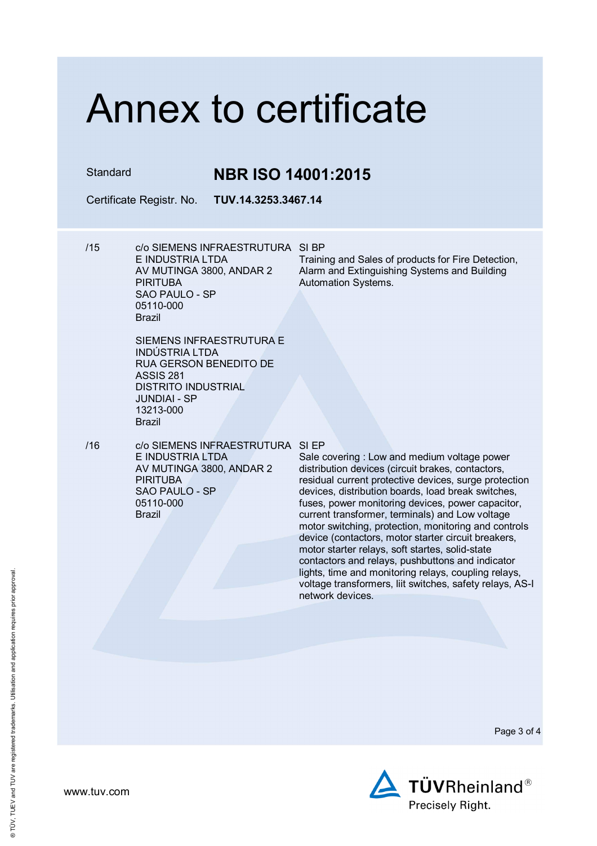Standard **NBR ISO 14001:2015**

Certificate Registr. No. **TUV.14.3253.3467.14** 

/15 c/o SIEMENS INFRAESTRUTURA SI BP E INDUSTRIA LTDA AV MUTINGA 3800, ANDAR 2 **PIRITURA** SAO PAULO - SP 05110-000 Brazil

Training and Sales of products for Fire Detection, Alarm and Extinguishing Systems and Building Automation Systems.

- SIEMENS INFRAESTRUTURA E INDÚSTRIA LTDA RUA GERSON BENEDITO DE ASSIS 281 DISTRITO INDUSTRIAL JUNDIAI - SP 13213-000 Brazil
- /16 c/o SIEMENS INFRAESTRUTURA SI EP E INDUSTRIA LTDA AV MUTINGA 3800, ANDAR 2 **PIRITURA** SAO PAULO - SP 05110-000 Brazil

Sale covering : Low and medium voltage power distribution devices (circuit brakes, contactors, residual current protective devices, surge protection devices, distribution boards, load break switches, fuses, power monitoring devices, power capacitor, current transformer, terminals) and Low voltage motor switching, protection, monitoring and controls device (contactors, motor starter circuit breakers, motor starter relays, soft startes, solid-state contactors and relays, pushbuttons and indicator lights, time and monitoring relays, coupling relays, voltage transformers, liit switches, safety relays, AS-I network devices.

Page 3 of 4